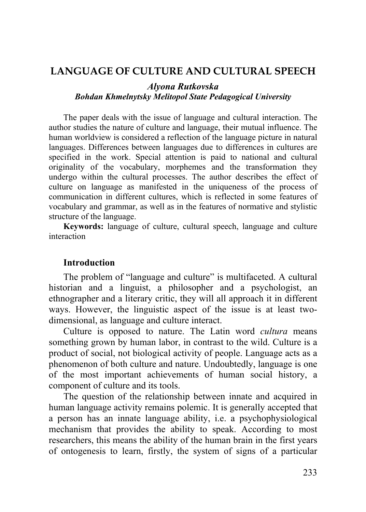# **LANGUAGE OF CULTURE AND CULTURAL SPEECH**

#### *Alyona Rutkovska Bohdan Khmelnytsky Melitopol State Pedagogical University*

The paper deals with the issue of language and cultural interaction. The author studies the nature of culture and language, their mutual influence. The human worldview is considered a reflection of the language picture in natural languages. Differences between languages due to differences in cultures are specified in the work. Special attention is paid to national and cultural originality of the vocabulary, morphemes and the transformation they undergo within the cultural processes. The author describes the effect of culture on language as manifested in the uniqueness of the process of communication in different cultures, which is reflected in some features of vocabulary and grammar, as well as in the features of normative and stylistic structure of the language.

**Keywords:** language of culture, cultural speech, language and culture interaction

#### **Introduction**

The problem of "language and culture" is multifaceted. A cultural historian and a linguist, a philosopher and a psychologist, an ethnographer and a literary critic, they will all approach it in different ways. However, the linguistic aspect of the issue is at least twodimensional, as language and culture interact.

Culture is opposed to nature. The Latin word *cultura* means something grown by human labor, in contrast to the wild. Culture is a product of social, not biological activity of people. Language acts as a phenomenon of both culture and nature. Undoubtedly, language is one of the most important achievements of human social history, a component of culture and its tools.

The question of the relationship between innate and acquired in human language activity remains polemic. It is generally accepted that a person has an innate language ability, i.e. a psychophysiological mechanism that provides the ability to speak. According to most researchers, this means the ability of the human brain in the first years of ontogenesis to learn, firstly, the system of signs of a particular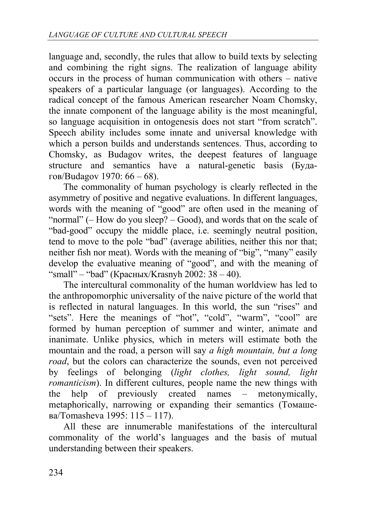language and, secondly, the rules that allow to build texts by selecting and combining the right signs. The realization of language ability occurs in the process of human communication with others – native speakers of a particular language (or languages). According to the radical concept of the famous American researcher Noam Chomsky, the innate component of the language ability is the most meaningful, so language acquisition in ontogenesis does not start "from scratch". Speech ability includes some innate and universal knowledge with which a person builds and understands sentences. Thus, according to Chomsky, as Budagov writes, the deepest features of language structure and semantics have a natural-genetic basis (Будагов/Budagov 1970: 66 – 68).

The commonality of human psychology is clearly reflected in the asymmetry of positive and negative evaluations. In different languages, words with the meaning of "good" are often used in the meaning of "normal" (– How do you sleep? – Good), and words that on the scale of "bad-good" occupy the middle place, i.e. seemingly neutral position, tend to move to the pole "bad" (average abilities, neither this nor that; neither fish nor meat). Words with the meaning of "big", "many" easily develop the evaluative meaning of "good", and with the meaning of "small" – "bad" (Красных/Krasnyh 2002:  $38 - 40$ ).

The intercultural commonality of the human worldview has led to the anthropomorphic universality of the naive picture of the world that is reflected in natural languages. In this world, the sun "rises" and "sets". Here the meanings of "hot", "cold", "warm", "cool" are formed by human perception of summer and winter, animate and inanimate. Unlike physics, which in meters will estimate both the mountain and the road, a person will say *a high mountain, but a long road*, but the colors can characterize the sounds, even not perceived by feelings of belonging (*light clothes, light sound, light romanticism*). In different cultures, people name the new things with the help of previously created names – metonymically, metaphorically, narrowing or expanding their semantics (Томашева/Tomasheva 1995: 115 – 117).

All these are innumerable manifestations of the intercultural commonality of the world's languages and the basis of mutual understanding between their speakers.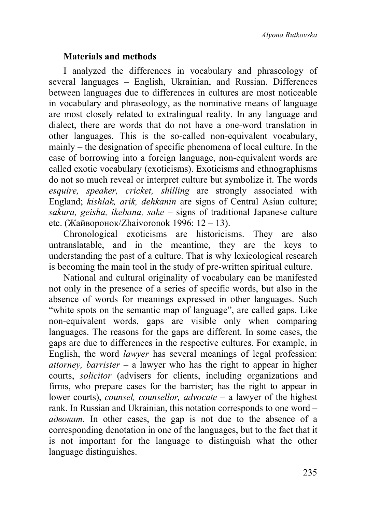### **Materials and methods**

I analyzed the differences in vocabulary and phraseology of several languages – English, Ukrainian, and Russian. Differences between languages due to differences in cultures are most noticeable in vocabulary and phraseology, as the nominative means of language are most closely related to extralingual reality. In any language and dialect, there are words that do not have a one-word translation in other languages. This is the so-called non-equivalent vocabulary, mainly – the designation of specific phenomena of local culture. In the case of borrowing into a foreign language, non-equivalent words are called exotic vocabulary (exoticisms). Exoticisms and ethnographisms do not so much reveal or interpret culture but symbolize it. The words *esquire, speaker, cricket, shilling* are strongly associated with England; *kishlak, arik, dehkanin* are signs of Central Asian culture; *sakura, geisha, ikebana, sake* – signs of traditional Japanese culture etc. (Жайворонок/Zhaivoronok 1996: 12 – 13).

Chronological exoticisms are historicisms. They are also untranslatable, and in the meantime, they are the keys to understanding the past of a culture. That is why lexicological research is becoming the main tool in the study of pre-written spiritual culture.

National and cultural originality of vocabulary can be manifested not only in the presence of a series of specific words, but also in the absence of words for meanings expressed in other languages. Such "white spots on the semantic map of language", are called gaps. Like non-equivalent words, gaps are visible only when comparing languages. The reasons for the gaps are different. In some cases, the gaps are due to differences in the respective cultures. For example, in English, the word *lawyer* has several meanings of legal profession: *attorney, barrister* – a lawyer who has the right to appear in higher courts, *solicitor* (advisers for clients, including organizations and firms, who prepare cases for the barrister; has the right to appear in lower courts), *counsel, counsellor, advocate* – a lawyer of the highest rank. In Russian and Ukrainian, this notation corresponds to one word – *адвокат*. In other cases, the gap is not due to the absence of a corresponding denotation in one of the languages, but to the fact that it is not important for the language to distinguish what the other language distinguishes.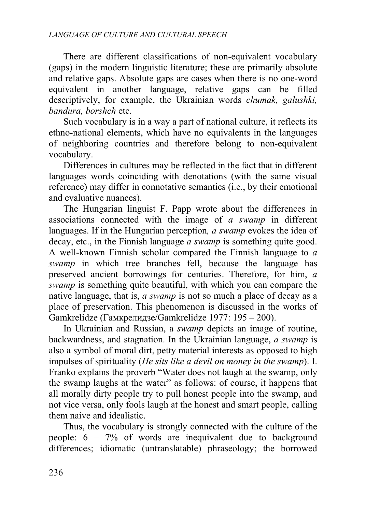There are different classifications of non-equivalent vocabulary (gaps) in the modern linguistic literature; these are primarily absolute and relative gaps. Absolute gaps are cases when there is no one-word equivalent in another language, relative gaps can be filled descriptively, for example, the Ukrainian words *chumak, galushki, bandura, borshch* etc.

Such vocabulary is in a way a part of national culture, it reflects its ethno-national elements, which have no equivalents in the languages of neighboring countries and therefore belong to non-equivalent vocabulary.

Differences in cultures may be reflected in the fact that in different languages words coinciding with denotations (with the same visual reference) may differ in connotative semantics (i.e., by their emotional and evaluative nuances).

The Hungarian linguist F. Papp wrote about the differences in associations connected with the image of *a swamp* in different languages. If in the Hungarian perception*, a swamp* evokes the idea of decay, etc., in the Finnish language *a swamp* is something quite good. A well-known Finnish scholar compared the Finnish language to *a swamp* in which tree branches fell, because the language has preserved ancient borrowings for centuries. Therefore, for him, *a swamp* is something quite beautiful, with which you can compare the native language, that is, *a swamp* is not so much a place of decay as a place of preservation. This phenomenon is discussed in the works of Gamkrelidze (Гамкрелидзе/Gamkrelidze 1977: 195 – 200).

In Ukrainian and Russian, a *swamp* depicts an image of routine, backwardness, and stagnation. In the Ukrainian language, *a swamp* is also a symbol of moral dirt, petty material interests as opposed to high impulses of spirituality (*He sits like a devil on money in the swamp*). I. Franko explains the proverb "Water does not laugh at the swamp, only the swamp laughs at the water" as follows: of course, it happens that all morally dirty people try to pull honest people into the swamp, and not vice versa, only fools laugh at the honest and smart people, calling them naive and idealistic.

Thus, the vocabulary is strongly connected with the culture of the people: 6 – 7% of words are inequivalent due to background differences; idiomatic (untranslatable) phraseology; the borrowed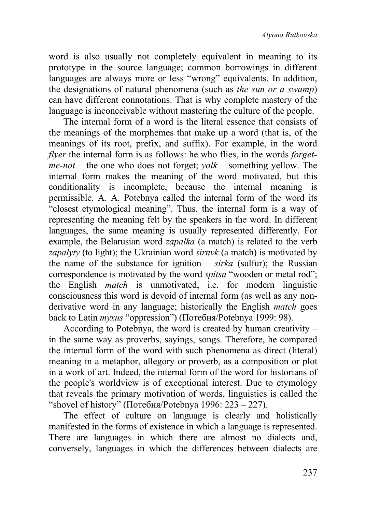word is also usually not completely equivalent in meaning to its prototype in the source language; common borrowings in different languages are always more or less "wrong" equivalents. In addition, the designations of natural phenomena (such as *the sun or a swamp*) can have different connotations. That is why complete mastery of the language is inconceivable without mastering the culture of the people.

The internal form of a word is the literal essence that consists of the meanings of the morphemes that make up a word (that is, of the meanings of its root, prefix, and suffix). For example, in the word *flyer* the internal form is as follows: he who flies, in the words *forgetme-not* – the one who does not forget; *yolk* – something yellow. The internal form makes the meaning of the word motivated, but this conditionality is incomplete, because the internal meaning is permissible. A. A. Potebnya called the internal form of the word its "closest etymological meaning". Thus, the internal form is a way of representing the meaning felt by the speakers in the word. In different languages, the same meaning is usually represented differently. For example, the Belarusian word *zapalka* (a match) is related to the verb *zapalyty* (to light); the Ukrainian word *sirnyk* (a match) is motivated by the name of the substance for ignition – *sirka* (sulfur); the Russian correspondence is motivated by the word *spitsa* "wooden or metal rod"; the English *match* is unmotivated, i.e. for modern linguistic consciousness this word is devoid of internal form (as well as any nonderivative word in any language; historically the English *match* goes back to Latin *myxus* "oppression") (Потебня/Potebnya 1999: 98).

According to Potebnya, the word is created by human creativity – in the same way as proverbs, sayings, songs. Therefore, he compared the internal form of the word with such phenomena as direct (literal) meaning in a metaphor, allegory or proverb, as a composition or plot in a work of art. Indeed, the internal form of the word for historians of the people's worldview is of exceptional interest. Due to etymology that reveals the primary motivation of words, linguistics is called the "shovel of history" (Потебня/Potebnya 1996: 223 – 227).

The effect of culture on language is clearly and holistically manifested in the forms of existence in which a language is represented. There are languages in which there are almost no dialects and, conversely, languages in which the differences between dialects are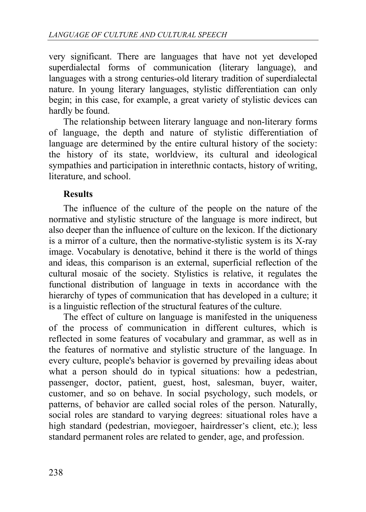very significant. There are languages that have not yet developed superdialectal forms of communication (literary language), and languages with a strong centuries-old literary tradition of superdialectal nature. In young literary languages, stylistic differentiation can only begin; in this case, for example, a great variety of stylistic devices can hardly be found.

The relationship between literary language and non-literary forms of language, the depth and nature of stylistic differentiation of language are determined by the entire cultural history of the society: the history of its state, worldview, its cultural and ideological sympathies and participation in interethnic contacts, history of writing, literature, and school.

## **Results**

The influence of the culture of the people on the nature of the normative and stylistic structure of the language is more indirect, but also deeper than the influence of culture on the lexicon. If the dictionary is a mirror of a culture, then the normative-stylistic system is its X-ray image. Vocabulary is denotative, behind it there is the world of things and ideas, this comparison is an external, superficial reflection of the cultural mosaic of the society. Stylistics is relative, it regulates the functional distribution of language in texts in accordance with the hierarchy of types of communication that has developed in a culture; it is a linguistic reflection of the structural features of the culture.

The effect of culture on language is manifested in the uniqueness of the process of communication in different cultures, which is reflected in some features of vocabulary and grammar, as well as in the features of normative and stylistic structure of the language. In every culture, people's behavior is governed by prevailing ideas about what a person should do in typical situations: how a pedestrian, passenger, doctor, patient, guest, host, salesman, buyer, waiter, customer, and so on behave. In social psychology, such models, or patterns, of behavior are called social roles of the person. Naturally, social roles are standard to varying degrees: situational roles have a high standard (pedestrian, moviegoer, hairdresser's client, etc.); less standard permanent roles are related to gender, age, and profession.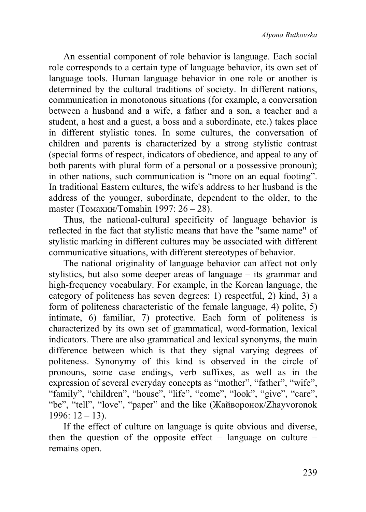An essential component of role behavior is language. Each social role corresponds to a certain type of language behavior, its own set of language tools. Human language behavior in one role or another is determined by the cultural traditions of society. In different nations, communication in monotonous situations (for example, a conversation between a husband and a wife, a father and a son, a teacher and a student, a host and a guest, a boss and a subordinate, etc.) takes place in different stylistic tones. In some cultures, the conversation of children and parents is characterized by a strong stylistic contrast (special forms of respect, indicators of obedience, and appeal to any of both parents with plural form of a personal or a possessive pronoun); in other nations, such communication is "more on an equal footing". In traditional Eastern cultures, the wife's address to her husband is the address of the younger, subordinate, dependent to the older, to the master (Томахин/Tomahin 1997: 26 – 28).

Thus, the national-cultural specificity of language behavior is reflected in the fact that stylistic means that have the "same name" of stylistic marking in different cultures may be associated with different communicative situations, with different stereotypes of behavior.

The national originality of language behavior can affect not only stylistics, but also some deeper areas of language – its grammar and high-frequency vocabulary. For example, in the Korean language, the category of politeness has seven degrees: 1) respectful, 2) kind, 3) a form of politeness characteristic of the female language, 4) polite, 5) intimate, 6) familiar, 7) protective. Each form of politeness is characterized by its own set of grammatical, word-formation, lexical indicators. There are also grammatical and lexical synonyms, the main difference between which is that they signal varying degrees of politeness. Synonymy of this kind is observed in the circle of pronouns, some case endings, verb suffixes, as well as in the expression of several everyday concepts as "mother", "father", "wife", "family", "children", "house", "life", "come", "look", "give", "care", "be", "tell", "love", "paper" and the like (Жайворонок/Zhayvoronok  $1996: 12 - 13$ .

If the effect of culture on language is quite obvious and diverse, then the question of the opposite effect – language on culture – remains open.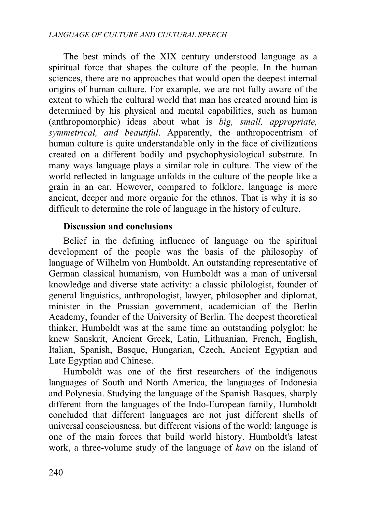The best minds of the XIX century understood language as a spiritual force that shapes the culture of the people. In the human sciences, there are no approaches that would open the deepest internal origins of human culture. For example, we are not fully aware of the extent to which the cultural world that man has created around him is determined by his physical and mental capabilities, such as human (anthropomorphic) ideas about what is *big, small, appropriate, symmetrical, and beautiful*. Apparently, the anthropocentrism of human culture is quite understandable only in the face of civilizations created on a different bodily and psychophysiological substrate. In many ways language plays a similar role in culture. The view of the world reflected in language unfolds in the culture of the people like a grain in an ear. However, compared to folklore, language is more ancient, deeper and more organic for the ethnos. That is why it is so difficult to determine the role of language in the history of culture.

### **Discussion and conclusions**

Belief in the defining influence of language on the spiritual development of the people was the basis of the philosophy of language of Wilhelm von Humboldt. An outstanding representative of German classical humanism, von Humboldt was a man of universal knowledge and diverse state activity: a classic philologist, founder of general linguistics, anthropologist, lawyer, philosopher and diplomat, minister in the Prussian government, academician of the Berlin Academy, founder of the University of Berlin. The deepest theoretical thinker, Humboldt was at the same time an outstanding polyglot: he knew Sanskrit, Ancient Greek, Latin, Lithuanian, French, English, Italian, Spanish, Basque, Hungarian, Czech, Ancient Egyptian and Late Egyptian and Chinese.

Humboldt was one of the first researchers of the indigenous languages of South and North America, the languages of Indonesia and Polynesia. Studying the language of the Spanish Basques, sharply different from the languages of the Indo-European family, Humboldt concluded that different languages are not just different shells of universal consciousness, but different visions of the world; language is one of the main forces that build world history. Humboldt's latest work, a three-volume study of the language of *kavi* on the island of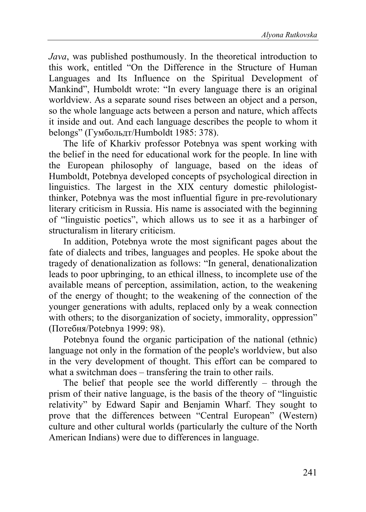*Java*, was published posthumously. In the theoretical introduction to this work, entitled "On the Difference in the Structure of Human Languages and Its Influence on the Spiritual Development of Mankind", Humboldt wrote: "In every language there is an original worldview. As a separate sound rises between an object and a person, so the whole language acts between a person and nature, which affects it inside and out. And each language describes the people to whom it belongs" (Гумбольдт/Humboldt 1985: 378).

The life of Kharkiv professor Potebnya was spent working with the belief in the need for educational work for the people. In line with the European philosophy of language, based on the ideas of Humboldt, Potebnya developed concepts of psychological direction in linguistics. The largest in the XIX century domestic philologistthinker, Potebnya was the most influential figure in pre-revolutionary literary criticism in Russia. His name is associated with the beginning of "linguistic poetics", which allows us to see it as a harbinger of structuralism in literary criticism.

In addition, Potebnya wrote the most significant pages about the fate of dialects and tribes, languages and peoples. He spoke about the tragedy of denationalization as follows: "In general, denationalization leads to poor upbringing, to an ethical illness, to incomplete use of the available means of perception, assimilation, action, to the weakening of the energy of thought; to the weakening of the connection of the younger generations with adults, replaced only by a weak connection with others; to the disorganization of society, immorality, oppression" (Потебня/Potebnya 1999: 98).

Potebnya found the organic participation of the national (ethnic) language not only in the formation of the people's worldview, but also in the very development of thought. This effort can be compared to what a switchman does – transfering the train to other rails.

The belief that people see the world differently – through the prism of their native language, is the basis of the theory of "linguistic relativity" by Edward Sapir and Benjamin Wharf. They sought to prove that the differences between "Central European" (Western) culture and other cultural worlds (particularly the culture of the North American Indians) were due to differences in language.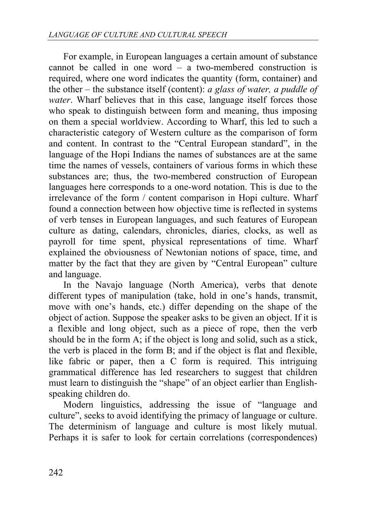For example, in European languages a certain amount of substance cannot be called in one word – a two-membered construction is required, where one word indicates the quantity (form, container) and the other – the substance itself (content): *a glass of water, a puddle of water*. Wharf believes that in this case, language itself forces those who speak to distinguish between form and meaning, thus imposing on them a special worldview. According to Wharf, this led to such a characteristic category of Western culture as the comparison of form and content. In contrast to the "Central European standard", in the language of the Hopi Indians the names of substances are at the same time the names of vessels, containers of various forms in which these substances are; thus, the two-membered construction of European languages here corresponds to a one-word notation. This is due to the irrelevance of the form / content comparison in Hopi culture. Wharf found a connection between how objective time is reflected in systems of verb tenses in European languages, and such features of European culture as dating, calendars, chronicles, diaries, clocks, as well as payroll for time spent, physical representations of time. Wharf explained the obviousness of Newtonian notions of space, time, and matter by the fact that they are given by "Central European" culture and language.

In the Navajo language (North America), verbs that denote different types of manipulation (take, hold in one's hands, transmit, move with one's hands, etc.) differ depending on the shape of the object of action. Suppose the speaker asks to be given an object. If it is a flexible and long object, such as a piece of rope, then the verb should be in the form A; if the object is long and solid, such as a stick, the verb is placed in the form B; and if the object is flat and flexible, like fabric or paper, then a C form is required. This intriguing grammatical difference has led researchers to suggest that children must learn to distinguish the "shape" of an object earlier than Englishspeaking children do.

Modern linguistics, addressing the issue of "language and culture", seeks to avoid identifying the primacy of language or culture. The determinism of language and culture is most likely mutual. Perhaps it is safer to look for certain correlations (correspondences)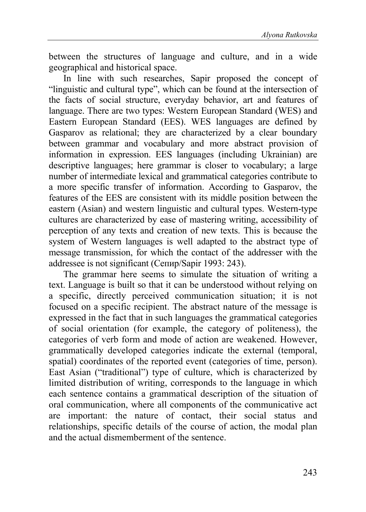between the structures of language and culture, and in a wide geographical and historical space.

In line with such researches, Sapir proposed the concept of "linguistic and cultural type", which can be found at the intersection of the facts of social structure, everyday behavior, art and features of language. There are two types: Western European Standard (WES) and Eastern European Standard (EES). WES languages are defined by Gasparov as relational; they are characterized by a clear boundary between grammar and vocabulary and more abstract provision of information in expression. EES languages (including Ukrainian) are descriptive languages; here grammar is closer to vocabulary; a large number of intermediate lexical and grammatical categories contribute to a more specific transfer of information. According to Gasparov, the features of the EES are consistent with its middle position between the eastern (Asian) and western linguistic and cultural types. Western-type cultures are characterized by ease of mastering writing, accessibility of perception of any texts and creation of new texts. This is because the system of Western languages is well adapted to the abstract type of message transmission, for which the contact of the addresser with the addressee is not significant (Сeпир/Sapir 1993: 243).

The grammar here seems to simulate the situation of writing a text. Language is built so that it can be understood without relying on a specific, directly perceived communication situation; it is not focused on a specific recipient. The abstract nature of the message is expressed in the fact that in such languages the grammatical categories of social orientation (for example, the category of politeness), the categories of verb form and mode of action are weakened. However, grammatically developed categories indicate the external (temporal, spatial) coordinates of the reported event (categories of time, person). East Asian ("traditional") type of culture, which is characterized by limited distribution of writing, corresponds to the language in which each sentence contains a grammatical description of the situation of oral communication, where all components of the communicative act are important: the nature of contact, their social status and relationships, specific details of the course of action, the modal plan and the actual dismemberment of the sentence.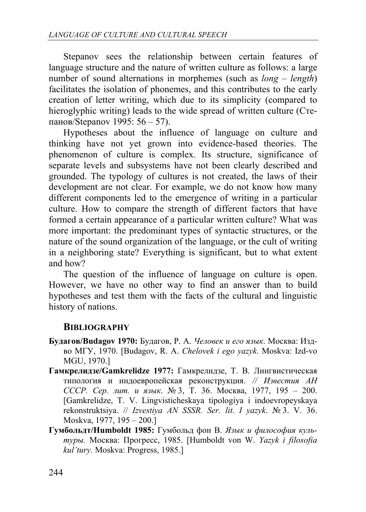Stepanov sees the relationship between certain features of language structure and the nature of written culture as follows: a large number of sound alternations in morphemes (such as *long* – *length*) facilitates the isolation of phonemes, and this contributes to the early creation of letter writing, which due to its simplicity (compared to hieroglyphic writing) leads to the wide spread of written culture (Creпанов/Stepanov 1995: 56 – 57).

Hypotheses about the influence of language on culture and thinking have not yet grown into evidence-based theories. The phenomenon of culture is complex. Its structure, significance of separate levels and subsystems have not been clearly described and grounded. The typology of cultures is not created, the laws of their development are not clear. For example, we do not know how many different components led to the emergence of writing in a particular culture. How to compare the strength of different factors that have formed a certain appearance of a particular written culture? What was more important: the predominant types of syntactic structures, or the nature of the sound organization of the language, or the cult of writing in a neighboring state? Everything is significant, but to what extent and how?

The question of the influence of language on culture is open. However, we have no other way to find an answer than to build hypotheses and test them with the facts of the cultural and linguistic history of nations.

# **BIBLIOGRAPHY**

- **Будагов/Budagov 1970:** Будагов, Р. А. *Человек и его язык*. Москва: Издво МГУ, 1970. [Budagov, R. A. *Chelovek i ego yazyk*. Moskva: Izd-vo MGU, 1970.]
- **Гамкрелидзе/Gamkrelidze 1977:** Гамкрелидзе, Т. В. Лингвистическая типология и индоeвропейская реконструкция. *// Известия АН СССР. Сер. лит. и язык*. № 3, Т. 36. Москва, 1977, 195 – 200. [Gamkrelidze, T. V. Lingvisticheskaya tipologiya i indoevropeyskaya rekonstruktsiya. // *Izvestiya AN SSSR. Ser. lit. I yazyk*. № 3. V. 36. Moskva, 1977, 195 – 200.]
- **Гумбольдт/Humboldt 1985:** Гумбольд фон В. *Язык и философия культуры.* Москва: Прогресс, 1985. [Humboldt von W. *Yazyk i filosofia kul'tury.* Moskva: Progress, 1985.]